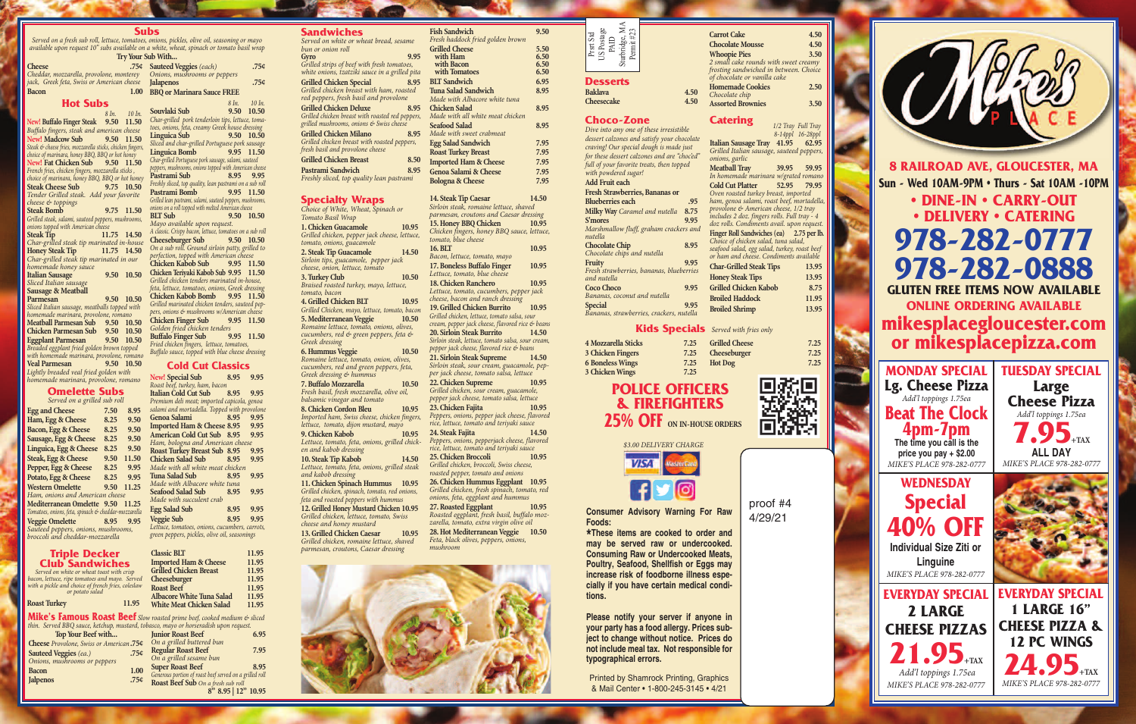**Consumer Advisory Warning For Raw Foods:**

**\* may be served raw or undercooked. These items are cooked to order and Consuming Raw or Undercooked Meats, Poultry, Seafood, Shellfish or Eggs may increase risk of foodborne illness especially if you have certain medical conditions.**

**Please notify your server if anyone in your party has a food allergy. Prices subject to change without notice. Prices do not include meal tax. Not responsible for typographical errors.**

Printed by Shamrock Printing, Graphics & Mail Center • 1-800-245-3145 • 4/21

#### **Subs**

*Served on a fresh sub roll, lettuce, tomatoes, onions, pickles, olive oil, seasoning or mayo available upon request 10" subs available on a white, wheat, spinach or tomato basil wrap*

*Char-grilled steak tip marinated in our homemade honey sauce* **Italian Sausage 9.50 10.50** *Sliced Italian sausage* **Sausage & Meatball Parmesan 9.50 10.50** *Sliced Italian sausage, meatballs topped with homemade marinara, provolone, romano* **Meatball Parmesan Sub 9.50 10.50 Chicken Parmesan Sub 9.50 10.50 Eggplant Parmesan 9.50 10.50** *Breaded eggplant fried golden brown topped with homemade marinara, provolone, romano* **Veal Parmesan 9.50 10.50** *Lightly breaded veal fried golden with*

| thin. Served BBQ sauce, ketchup, mustard, tobasco, mayo or horseradish upon request. |                  |                                                         |      |  |  |
|--------------------------------------------------------------------------------------|------------------|---------------------------------------------------------|------|--|--|
| Top Your Beef with                                                                   |                  | <b>Junior Roast Beef</b>                                | 6.95 |  |  |
| Cheese Provolone, Swiss or American.75¢                                              |                  | On a grilled buttered bun                               |      |  |  |
| Sauteed Veggies (ea.)                                                                | .754             | <b>Regular Roast Beef</b>                               | 7.95 |  |  |
| Onions, mushrooms or peppers                                                         |                  | On a grilled sesame bun                                 |      |  |  |
| <b>Bacon</b>                                                                         | 1.00             | <b>Super Roast Beef</b>                                 | 8.95 |  |  |
|                                                                                      |                  | Generous portion of roast beef served on a grilled roll |      |  |  |
| <b>Jalpenos</b>                                                                      | .75 <sub>¢</sub> | Roast Beef Sub On a fresh sub roll                      |      |  |  |
|                                                                                      |                  | $0$ $0.05$ $1.2$ $1.2$ $0.05$                           |      |  |  |

**8" 8.95 | 12" 10.95**

#### **Specialty Wraps**

**Classic BLT 11.95 Imported Ham & Cheese 11.95**<br>Grilled Chicken Breast **11.95 Grilled Chicken Breast 11.95 Cheeseburger 11.95 Roast Beef** 11.95<br>Albacore White Tuna Salad 11.95 **Albacore White Tuna Salad 11.95 White Meat Chicken Salad** 

*Choice of White, Wheat, Spinach or Tomato Basil Wrap* **1. Chicken Guacamole 10.95** *Grilled chicken, pepper jack cheese, lettuce, tomato, onions, guacamole* **2. Steak Tip Guacamole 14.50** *Sirloin tips, guacamole, pepper jack cheese, onion, lettuce, tomato* **3. Turkey Club 10.50** *Braised roasted turkey, mayo, lettuce, tomato, bacon* **4. Grilled Chicken BLT 10.95** *Grilled Chicken, mayo, lettuce, tomato, bacon* **5.MediterraneanVeggie 10.50** *Romaine lettuce, tomato, onions, olives, cucumbers, red & green peppers, feta & Greek dressing* **6.HummusVeggie 10.50** *Romaine lettuce, tomato, onion, olives, cucumbers, red and green peppers, feta, Greek dressing & hummus* **7. Buffalo Mozzarella 10.50** *Fresh basil, fresh mozzarella, olive oil, balsamic vinegar and tomato* **8. Chicken Cordon Bleu 10.95** *Imported ham, Swiss cheese, chicken finger lettuce, tomato, dijon mustard, mayo* **9. Chicken Kabob 10.95** *Lettuce, tomato, feta, onions, grilled chicken and kabob dressing* **10. Steak Tip Kabob 14.50** *Lettuce, tomato, feta, onions, grilled steak and kabob dressing* **11. Chicken Spinach Hummus 10.95** *Grilled chicken, spinach, tomato, red onions, feta and roasted peppers with hummus* **12. Grilled Honey Mustard Chicken 10.95** *Grilled chicken, lettuce, tomato, Swiss cheese and honey mustard* **13. Grilled Chicken Caesar 10.95** *Grilled chicken, romaine lettuce, shaved parmesan, croutons, Caesar dressing*

| available upon request I0 subs available on a white, wh   |             |              |                                  |
|-----------------------------------------------------------|-------------|--------------|----------------------------------|
|                                                           |             |              | Try Your Sub With                |
| <b>Cheese</b>                                             |             |              | .75¢ Sauteed \                   |
| Cheddar, mozzarella, provolone, monterey                  |             |              | Onions, n                        |
| jack, Greek feta, Swiss or American cheese                |             |              | <b>Jalapenos</b>                 |
| <b>Bacon</b>                                              |             | 1.00         | <b>BBQ</b> or M                  |
| <b>Hot Subs</b>                                           |             |              |                                  |
|                                                           |             | 8 In. 10 In. | Souvlaki                         |
| New! Buffalo Finger Steak 9.50 11.50                      |             |              | Char-grille                      |
| Buffalo fingers, steak and american cheese                |             |              | toes, onion.                     |
| New! Madcow Sub 9.50 11.50                                |             |              | Linguica                         |
| Steak & cheese fries, mozzarella sticks, chicken fingers, |             |              | Sliced and                       |
| choice of marinara, honey BBQ, BBQ or hot honey           |             |              | Linguica                         |
| New! Fat Chicken Sub 9.50 11.50                           |             |              | Char-grilled i                   |
| French fries, chicken fingers, mozzarella sticks,         |             |              | peppers, musi                    |
| choice of marinara, honey BBQ, BBQ or hot honey           |             |              | Pastrami                         |
| Steak Cheese Sub 9.75 10.50                               |             |              | Freshly slice                    |
| Tender Grilled steak. Add your favorite                   |             |              | Pastrami                         |
| cheese & toppings                                         |             |              | Grilled lean p<br>onions on a ro |
| <b>Steak Bomb</b>                                         | 9.75 11.50  |              | <b>BLT</b> Sub                   |
| Grilled steak, salami, sauteed peppers, mushrooms,        |             |              | Mayo avo                         |
| onions topped with American cheese                        |             |              | A classic. Cr                    |
| <b>Steak Tip</b>                                          | 11.75 14.50 |              | Cheesebu                         |
| Char-grilled steak tip marinated in-house                 |             |              | On a sub 1                       |
| <b>Honey Steak Tip</b>                                    | 11.75 14.50 |              | perfection,                      |
| Char-grilled steak tip marinated in our                   |             |              |                                  |

| a white, wheat, spinach or tomato basil wrap               |       |            |
|------------------------------------------------------------|-------|------------|
| ub With                                                    |       |            |
| <b>Sauteed Veggies</b> (each)                              |       | 75¢.       |
| Onions, mushrooms or peppers                               |       |            |
| <b>Jalapenos</b>                                           |       | .754       |
| <b>BBQ</b> or Marinara Sauce FREE                          |       |            |
|                                                            |       |            |
|                                                            | 8 In. | $10 \ln$   |
| Souvlaki Sub                                               |       | 9.50 10.50 |
| Char-grilled pork tenderloin tips, lettuce, toma-          |       |            |
| toes, onions, feta, creamy Greek house dressing            |       |            |
| Linguica Sub                                               |       | 9.50 10.50 |
| Sliced and char-grilled Portuguese pork sausage            |       |            |
| Linguica Bomb                                              | 9.95  | 11.50      |
| Char-grilled Portuguese pork sausage, salami, sauteed      |       |            |
| peppers, mushrooms, onions topped with American cheese     |       |            |
| Pastrami Sub                                               | 8.95  | 9.95       |
| Freshly sliced, top quality, lean pastrami on a sub roll   |       |            |
| Pastrami Bomb                                              | 9.95  | 11.50      |
| Grilled lean pastrami, salami, sauteed peppers, mushrooms, |       |            |
| onions on a roll topped with melted American cheese        |       |            |
| <b>BIT Sub</b>                                             |       | 9.50 10.50 |
| Mayo available upon request.                               |       |            |
| A classic. Crispy bacon, lettuce, tomatoes on a sub roll   |       |            |
| <b>Cheeseburger Sub</b>                                    |       | 9.50 10.50 |
| On a sub roll. Ground sirloin patty, grilled to            |       |            |
| perfection, topped with American cheese                    |       |            |
| <b>Chicken Kabob Sub</b>                                   |       | 9.95 11.50 |
| Chicken Teriyaki Kabob Sub 9.95 11.50                      |       |            |
| Grilled chicken tenders marinated in-house,                |       |            |
|                                                            |       |            |
| feta, lettuce, tomatoes, onions, Greek dressing            |       |            |
| Chicken Kabob Bomb 9.95 11.50                              |       |            |
| Grilled marinated chicken tenders, sauteed pep-            |       |            |
| pers, onions & mushrooms w/American cheese                 |       |            |
| <b>Chicken Finger Sub</b>                                  |       | 9.95 11.50 |
| Golden fried chicken tenders                               |       |            |
| <b>Buffalo Finger Sub</b>                                  | 9.95  | 11.50      |
| Fried chicken fingers, lettuce, tomatoes,                  |       |            |
| Buffalo sauce, topped with blue cheese dressing            |       |            |

**Grilled Cheese 7.25 Cheeseburger 7.25**<br> **Hot Dog 7.25** 



*Roasted eggplant, fresh basil, buffalo mozzarella, tomato, extra virgin olive oil* **28. Hot Mediterranean Veggie 10.50** *Feta, black olives, peppers, onions,*



*mushroom*

### **Cold Cut Classics**

|                         | <b>Fish Sandwich</b>                                                                     | 9.50  |
|-------------------------|------------------------------------------------------------------------------------------|-------|
|                         | Fresh haddock fried golden brown<br><b>Grilled Cheese</b>                                | 5.50  |
| 15                      | with Ham                                                                                 | 6.50  |
|                         | with Bacon                                                                               | 6.50  |
| ta                      | with Tomatoes                                                                            | 6.50  |
| $5^{\circ}$             | <b>BLT</b> Sandwich                                                                      | 6.95  |
|                         | <b>Tuna Salad Sandwich</b>                                                               | 8.95  |
|                         | Made with Albacore white tuna                                                            |       |
| 15                      | <b>Chicken Salad</b>                                                                     | 8.95  |
| rs,                     | Made with all white meat chicken                                                         |       |
|                         | <b>Seafood Salad</b>                                                                     | 8.95  |
| $5\overline{5}$         | Made with sweet crabmeat                                                                 |       |
|                         | <b>Egg Salad Sandwich</b>                                                                | 7.95  |
|                         | <b>Roast Turkey Breast</b>                                                               | 7.95  |
| $\dot{0}$               | <b>Imported Ham &amp; Cheese</b>                                                         | 7.95  |
| 15                      | Genoa Salami & Cheese                                                                    | 7.95  |
|                         | <b>Bologna &amp; Cheese</b>                                                              | 7.95  |
|                         |                                                                                          |       |
|                         | 14. Steak Tip Caesar                                                                     | 14.50 |
|                         | Sirloin steak, romaine lettuce, shaved                                                   |       |
|                         | parmesan, croutons and Caesar dressing                                                   |       |
| 5                       | 15. Honey BBQ Chicken                                                                    | 10.95 |
| e,                      | Chicken fingers, honey BBQ sauce, lettuce,                                               |       |
|                         | tomato, blue cheese                                                                      |       |
| $\overline{\mathbf{0}}$ | 16. BLT                                                                                  | 10.95 |
|                         | Bacon, lettuce, tomato, mayo                                                             |       |
|                         | 17. Boneless Buffalo Finger                                                              | 10.95 |
| D                       | Lettuce, tomato, blue cheese                                                             |       |
|                         | 18. Chicken Ranchero                                                                     | 10.95 |
|                         | Lettuce, tomato, cucumbers, pepper jack                                                  |       |
| 5                       | cheese, bacon and ranch dressing                                                         |       |
| m                       | 19. Grilled Chicken Burrito<br>Grilled chicken, lettuce, tomato salsa, sour              | 10.95 |
| $\overline{\mathbf{0}}$ | cream, pepper jack cheese, flavored rice & beans                                         |       |
|                         | 20. Sirloin Steak Burrito                                                                | 14.50 |
|                         | Sirloin steak, lettuce, tomato salsa, sour cream,                                        |       |
| D                       | pepper jack cheese, flavored rice & beans                                                |       |
|                         | 21. Sirloin Steak Supreme                                                                | 14.50 |
|                         | Sirloin steak, sour cream, guacamole, pep-                                               |       |
|                         | per jack cheese, tomato salsa, lettuce                                                   |       |
| D                       | 22. Chicken Supreme                                                                      | 10.95 |
|                         | Grilled chicken, sour cream, guacamole,                                                  |       |
|                         | pepper jack cheese, tomato salsa, lettuce                                                |       |
| 5                       | 23. Chicken Fajita                                                                       | 10.95 |
| rs,                     | Peppers, onions, pepper jack cheese, flavored                                            |       |
|                         | rice, lettuce, tomato and teriyaki sauce                                                 |       |
| 5                       | 24. Steak Fajita                                                                         | 14.50 |
| k-                      | Peppers, onions, pepperjack cheese, flavored<br>rice, lettuce, tomato and teriyaki sauce |       |
|                         | 25. Chicken Broccoli                                                                     | 10.95 |
| D                       | Grilled chicken, broccoli, Swiss cheese,                                                 |       |
| k                       | roasted pepper, tomato and onions                                                        |       |
| 5                       | 26. Chicken Hummus Eggplant                                                              | 10.95 |
|                         | Grilled chicken, fresh spinach, tomato, red                                              |       |
| .<br>',                 | onions, feta, eggplant and hummus                                                        |       |
| 5                       | 27. Roasted Eggplant                                                                     | 10.95 |
|                         | Roasted egaplant fresh hasil huffalo moz                                                 |       |

| <b>New!</b> Special Sub<br>8.95                |           | 9.95 |
|------------------------------------------------|-----------|------|
| Roast beef, turkey, ham, bacon                 |           |      |
| Italian Cold Cut Sub 8.95                      |           | 9.95 |
| Premium deli meat; imported capicola, genoa    |           |      |
| salami and mortadella. Topped with provolone   |           |      |
| Genoa Salami<br>n a shekara                    | 8.95      | 9.95 |
| Imported Ham & Cheese 8.95 9.95                |           |      |
| American Cold Cut Sub 8.95                     |           | 9.95 |
| Ham, bologna and American cheese               |           |      |
| Roast Turkey Breast Sub 8.95                   |           | 9.95 |
| Chicken Salad Sub 8.95                         |           | 9.95 |
| Made with all white meat chicken               |           |      |
| Tuna Salad Sub                                 | 8.95      | 9.95 |
| Made with Albacore white tuna                  |           |      |
| Seafood Salad Sub 8.95                         |           | 9.95 |
| Made with succulent crab                       |           |      |
| <b>Egg Salad Sub</b>                           | 8.95 9.95 |      |
| <b>Veggie Sub</b>                              | 8.95 9.95 |      |
| Lettuce, tomatoes, onions, cucumbers, carrots, |           |      |
| green peppers, pickles, olive oil, seasonings  |           |      |
|                                                |           |      |
|                                                |           |      |

*homemade marinara, provolone, romano* **Omelette Subs**

|                |  | $.77 \t7 \t7 \t7$ |  |
|----------------|--|-------------------|--|
| Jinelette Subs |  |                   |  |

|                        | <b>Triple Decker</b> |  |
|------------------------|----------------------|--|
| <b>Club Sandwiches</b> |                      |  |

*Served on white or wheat toast with crisp bacon, lettuce, ripe tomatoes and mayo. Served with a pickle and choice of french fries, coleslaw or potato salad*

#### **Roast Turkey 11.95**

### **Sandwiches**

| Served on white or wheat bread, sesame           |      |
|--------------------------------------------------|------|
| bun or onion roll                                |      |
| Gyro                                             | 9.95 |
| Grilled strips of beef with fresh tomatoes,      |      |
| white onions, tzatziki sauce in a grilled pita   |      |
| <b>Grilled Chicken Special</b>                   | 8.95 |
| Grilled chicken breast with ham, roasted         |      |
| red peppers, fresh basil and provolone           |      |
| <b>Grilled Chicken Deluxe</b>                    | 8.95 |
| Grilled chicken breast with roasted red peppers, |      |
| grilled mushrooms, onions & Swiss cheese         |      |
| <b>Grilled Chicken Milano</b>                    | 8.95 |
| Grilled chicken breast with roasted peppers,     |      |
| fresh basil and provolone cheese                 |      |
| <b>Grilled Chicken Breast</b>                    | 8.50 |
| Pastrami Sandwich                                | 8.95 |
| Freshly sliced, top quality lean pastrami        |      |
|                                                  |      |







**Beat The Clock 4pm-7pm The time you call is the price you pay + \$2.00** *MIKE'S PLACE 978-282-0777*

**WEDNESDAY Special 40% OFF Individual Size Ziti or Linguine**

**TUESDAY SPECIAL Large Cheese Pizza** *Add'l toppings 1.75ea* **7.95+TAX ALL DAY** *MIKE'S PLACE 978-282-0777*



**Mike's Famous Roast Beef** *Slow roasted prime beef, cooked medium & sliced thin. Served BBQ sauce, ketchup, mustard, tobasco, mayo or horseradish upon request.*

*Bananas, coconut and nutella*

**Special 9.95** *Bananas, strawberries, crackers, nutella*

| Sturbridge, $\mathbf{M} \mathbf{A}$<br>$J\$ Postage PAID<br>Permit#23<br>Prsrt Std<br><b>Desserts</b><br><b>Baklava</b><br>Cheesecake | 4.50<br>4.50                                   | <b>Carrot Cake</b><br><b>Chocolate Mousse</b><br><b>Whoopie Pies</b><br>2 small cake rounds with sweet creamy<br>frosting sandwiched in between. Choice<br>of chocolate or vanilla cake<br><b>Homemade Cookies</b><br>Chocolate chip<br><b>Assorted Brownies</b> | 4.50<br>4.50<br>3.50<br>2.50<br>3.50   |
|---------------------------------------------------------------------------------------------------------------------------------------|------------------------------------------------|------------------------------------------------------------------------------------------------------------------------------------------------------------------------------------------------------------------------------------------------------------------|----------------------------------------|
| <b>Choco-Zone</b>                                                                                                                     |                                                | <b>Catering</b>                                                                                                                                                                                                                                                  |                                        |
| Dive into any one of these irresistible                                                                                               |                                                |                                                                                                                                                                                                                                                                  | 1/2 Tray Full Tray<br>8-14ppl 16-28ppl |
| dessert calzones and satisfy your chocolate                                                                                           |                                                | Italian Sausage Tray                                                                                                                                                                                                                                             | 41.95<br>62.95                         |
| craving! Our special dough is made just                                                                                               |                                                | Grilled Italian sausage, sauteed peppers,                                                                                                                                                                                                                        |                                        |
| for these dessert calzones and are "choced"                                                                                           |                                                | onions, garlic                                                                                                                                                                                                                                                   |                                        |
| full of your favorite treats, then topped<br>with powdered sugar!                                                                     |                                                | <b>Meatball Tray</b>                                                                                                                                                                                                                                             | 59.95<br><b>39.95</b>                  |
| <b>Add Fruit each</b>                                                                                                                 |                                                | In homemade marinara w/grated romano                                                                                                                                                                                                                             |                                        |
|                                                                                                                                       |                                                | <b>Cold Cut Platter</b>                                                                                                                                                                                                                                          | 52.95<br>79.95                         |
| Fresh Strawberries, Bananas or<br><b>Blueberries each</b>                                                                             |                                                | Oven roasted turkey breast, imported<br>ham, genoa salami, roast beef, mortadella,                                                                                                                                                                               |                                        |
|                                                                                                                                       | .95                                            | provolone $\&$ American cheese, $1/2$ tray                                                                                                                                                                                                                       |                                        |
| <b>Milky Way</b> Caramel and nutella                                                                                                  | 8.75                                           | includes 2 doz. fingers rolls. Full tray - 4                                                                                                                                                                                                                     |                                        |
| S'mores                                                                                                                               | 9.95<br>Marshmallow fluff, graham crackers and | doz rolls. Condiments avail. upon request.                                                                                                                                                                                                                       |                                        |
| nutella                                                                                                                               |                                                | <b>Finger Roll Sandwiches (ea)</b>                                                                                                                                                                                                                               | 2.75 per lb.                           |
| <b>Chocolate Chip</b><br>8.95                                                                                                         |                                                | Choice of chicken salad, tuna salad,                                                                                                                                                                                                                             |                                        |
| Chocolate chips and nutella                                                                                                           |                                                | seafood salad, egg salad, turkey, roast beef<br>or ham and cheese. Condiments available                                                                                                                                                                          |                                        |
| Fruity                                                                                                                                | 9.95                                           | <b>Char-Grilled Steak Tips</b>                                                                                                                                                                                                                                   | 13.95                                  |
|                                                                                                                                       | Fresh strawberries, bananas, blueberries       |                                                                                                                                                                                                                                                                  | 13.95                                  |
| and nutella                                                                                                                           |                                                | <b>Honey Steak Tips</b>                                                                                                                                                                                                                                          |                                        |
| <b>Coco Choco</b>                                                                                                                     | 9.95                                           | <b>Grilled Chicken Kabob</b>                                                                                                                                                                                                                                     | 8.75                                   |

**Broiled Haddock 11.95 Broiled Shrimp 13.95**



**8 RAILROAD AVE, GLOUCESTER, MA Sun - Wed 10AM-9PM • Thurs - Sat 10AM -10PM • DINE-IN • CARRY-OUT**

# **• DELIVERY • CATERING 978-282-0777 978-282-0888 GLUTEN FREE ITEMS NOW AVAILABLE ONLINE ORDERING AVAILABLE**

| <b>4 Mozzarella Sticks</b> | 7 |
|----------------------------|---|
| 3 Chicken Fingers          | 7 |
| <b>6 Boneless Wings</b>    | 7 |
| 3 Chicken Wings            | 7 |

**mikesplacegloucester.com or mikesplacepizza.com**

**6 Boneless Wings 7.25**

**Hot Dog 7.25**

### **Kids Specials** *Served with fries only*

## **3 ChickenWings 7.25 POLICE OFFICERS & FIREFIGHTERS**

**25% OFF ON IN-HOUSE ORDERS**

| Served on a grilled sub roll                         |      |       |
|------------------------------------------------------|------|-------|
| <b>Egg and Cheese</b>                                | 7.50 | 8.95  |
| Ham, Egg & Cheese                                    | 8.25 | 9.50  |
| Bacon, Egg & Cheese                                  | 8.25 | 9.50  |
| Sausage, Egg & Cheese                                | 8.25 | 9.50  |
| Linguica, Egg & Cheese                               | 8.25 | 9.50  |
| <b>Steak, Egg &amp; Cheese</b>                       | 9.50 | 11.50 |
| Pepper, Egg & Cheese                                 | 8.25 | 9.95  |
| Potato, Egg & Cheese                                 | 8.25 | 9.95  |
| <b>Western Omelette</b>                              | 9.50 | 11.25 |
| Ham, onions and American cheese                      |      |       |
| Mediterranean Omelette 9.50                          |      | 11.25 |
| Tomatoes, onions, feta, spinach & cheddar-mozzarella |      |       |
| <b>Veggie Omelette</b>                               | 8.95 | 9.95  |
| Sauteed peppers, onions, mushrooms,                  |      |       |
| broccoli and cheddar-mozzarella                      |      |       |

proof #4 4/29/21

然恩 ⊡ 靣